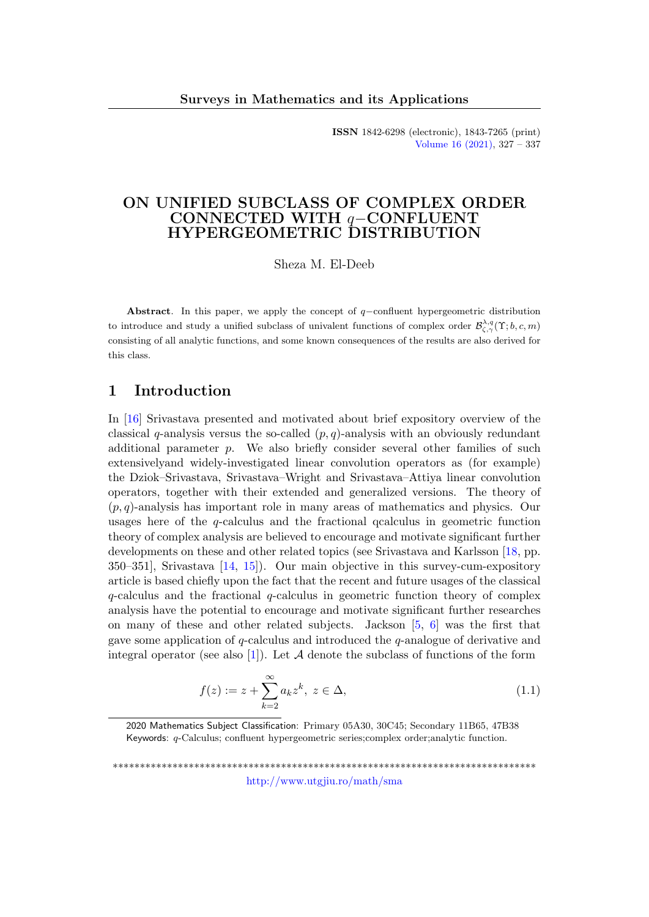ISSN 1842-6298 (electronic), 1843-7265 (print) [Volume 16 \(2021\),](http://www.utgjiu.ro/math/sma/v16/v16.html) 327 – 337

# ON UNIFIED SUBCLASS OF COMPLEX ORDER CONNECTED WITH q−CONFLUENT HYPERGEOMETRIC DISTRIBUTION

Sheza M. El-Deeb

Abstract. In this paper, we apply the concept of  $q$ -confluent hypergeometric distribution to introduce and study a unified subclass of univalent functions of complex order  $\mathcal{B}_{\zeta,\gamma}^{\lambda,q}(\Upsilon;b,c,m)$ consisting of all analytic functions, and some known consequences of the results are also derived for this class.

# 1 Introduction

In [\[16\]](#page-10-0) Srivastava presented and motivated about brief expository overview of the classical q-analysis versus the so-called  $(p, q)$ -analysis with an obviously redundant additional parameter  $p$ . We also briefly consider several other families of such extensivelyand widely-investigated linear convolution operators as (for example) the Dziok–Srivastava, Srivastava–Wright and Srivastava–Attiya linear convolution operators, together with their extended and generalized versions. The theory of  $(p, q)$ -analysis has important role in many areas of mathematics and physics. Our usages here of the  $q$ -calculus and the fractional qcalculus in geometric function theory of complex analysis are believed to encourage and motivate significant further developments on these and other related topics (see Srivastava and Karlsson [\[18,](#page-10-1) pp. 350–351], Srivastava [\[14,](#page-9-0) [15\]](#page-9-1)). Our main objective in this survey-cum-expository article is based chiefly upon the fact that the recent and future usages of the classical  $q$ -calculus and the fractional  $q$ -calculus in geometric function theory of complex analysis have the potential to encourage and motivate significant further researches on many of these and other related subjects. Jackson  $[5, 6]$  $[5, 6]$  was the first that gave some application of q-calculus and introduced the q-analogue of derivative and integral operator (see also [\[1\]](#page-8-0)). Let  $A$  denote the subclass of functions of the form

$$
f(z) := z + \sum_{k=2}^{\infty} a_k z^k, \ z \in \Delta,
$$
\n(1.1)

2020 Mathematics Subject Classification: Primary 05A30, 30C45; Secondary 11B65, 47B38 Keywords: q-Calculus; confluent hypergeometric series;complex order;analytic function.

\*\*\*\*\*\*\*\*\*\*\*\*\*\*\*\*\*\*\*\*\*\*\*\*\*\*\*\*\*\*\*\*\*\*\*\*\*\*\*\*\*\*\*\*\*\*\*\*\*\*\*\*\*\*\*\*\*\*\*\*\*\*\*\*\*\*\*\*\*\*\*\*\*\*\*\*\*\* <http://www.utgjiu.ro/math/sma>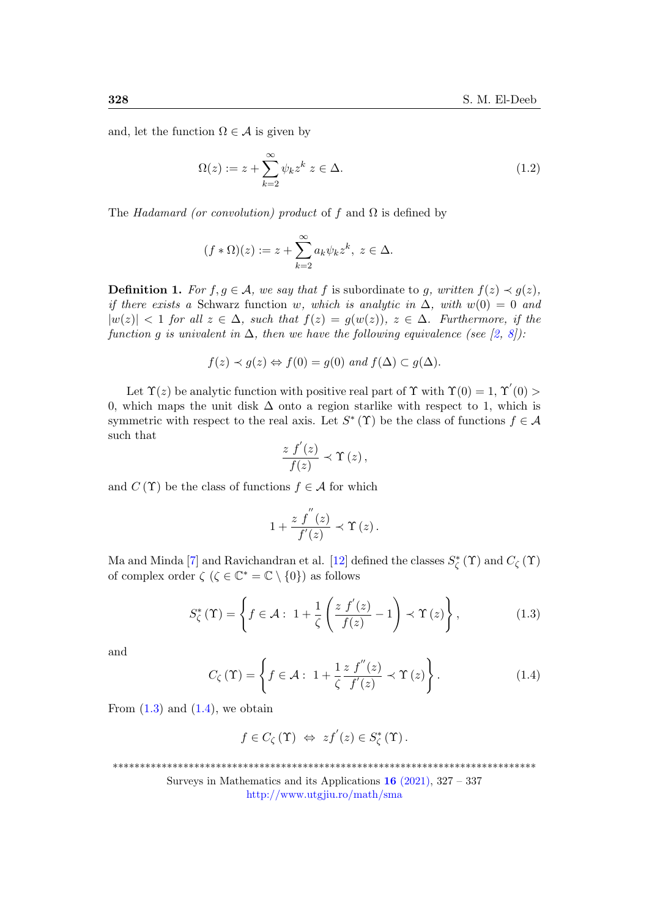and, let the function  $\Omega \in \mathcal{A}$  is given by

$$
\Omega(z) := z + \sum_{k=2}^{\infty} \psi_k z^k \ z \in \Delta.
$$
\n(1.2)

The Hadamard (or convolution) product of f and  $\Omega$  is defined by

$$
(f \ast \Omega)(z) := z + \sum_{k=2}^{\infty} a_k \psi_k z^k, \ z \in \Delta.
$$

**Definition 1.** For  $f, g \in A$ , we say that f is subordinate to g, written  $f(z) \prec g(z)$ , if there exists a Schwarz function w, which is analytic in  $\Delta$ , with  $w(0) = 0$  and  $|w(z)| < 1$  for all  $z \in \Delta$ , such that  $f(z) = g(w(z))$ ,  $z \in \Delta$ . Furthermore, if the function g is univalent in  $\Delta$ , then we have the following equivalence (see [\[2,](#page-8-1) [8\]](#page-9-4)):

$$
f(z) \prec g(z) \Leftrightarrow f(0) = g(0)
$$
 and  $f(\Delta) \subset g(\Delta)$ .

Let  $\Upsilon(z)$  be analytic function with positive real part of  $\Upsilon$  with  $\Upsilon(0) = 1, \Upsilon'(0) > 1$ 0, which maps the unit disk  $\Delta$  onto a region starlike with respect to 1, which is symmetric with respect to the real axis. Let  $S^*(\Upsilon)$  be the class of functions  $f \in \mathcal{A}$ such that

$$
\frac{zf'(z)}{f(z)} \prec \Upsilon(z),
$$

and  $C(\Upsilon)$  be the class of functions  $f \in \mathcal{A}$  for which

$$
1+\frac{z\;f^{''}(z)}{f^{'}(z)}\prec \Upsilon\left(z\right).
$$

Ma and Minda [\[7\]](#page-9-5) and Ravichandran et al. [\[12\]](#page-9-6) defined the classes  $S^*_{\zeta}(\Upsilon)$  and  $C_{\zeta}(\Upsilon)$ of complex order  $\zeta$  ( $\zeta \in \mathbb{C}^* = \mathbb{C} \setminus \{0\}$ ) as follows

<span id="page-1-0"></span>
$$
S_{\zeta}^{*}\left(\Upsilon\right) = \left\{ f \in \mathcal{A}: \ 1 + \frac{1}{\zeta} \left( \frac{z f'(z)}{f(z)} - 1 \right) \prec \Upsilon\left(z\right) \right\},\tag{1.3}
$$

and

<span id="page-1-1"></span>
$$
C_{\zeta}(\Upsilon) = \left\{ f \in \mathcal{A} : 1 + \frac{1}{\zeta} \frac{zf''(z)}{f'(z)} \prec \Upsilon(z) \right\}.
$$
 (1.4)

From  $(1.3)$  and  $(1.4)$ , we obtain

$$
f \in C_{\zeta}(\Upsilon) \Leftrightarrow z f^{'}(z) \in S_{\zeta}^{*}(\Upsilon).
$$

\*\*\*\*\*\*\*\*\*\*\*\*\*\*\*\*\*\*\*\*\*\*\*\*\*\*\*\*\*\*\*\*\*\*\*\*\*\*\*\*\*\*\*\*\*\*\*\*\*\*\*\*\*\*\*\*\*\*\*\*\*\*\*\*\*\*\*\*\*\*\*\*\*\*\*\*\*\*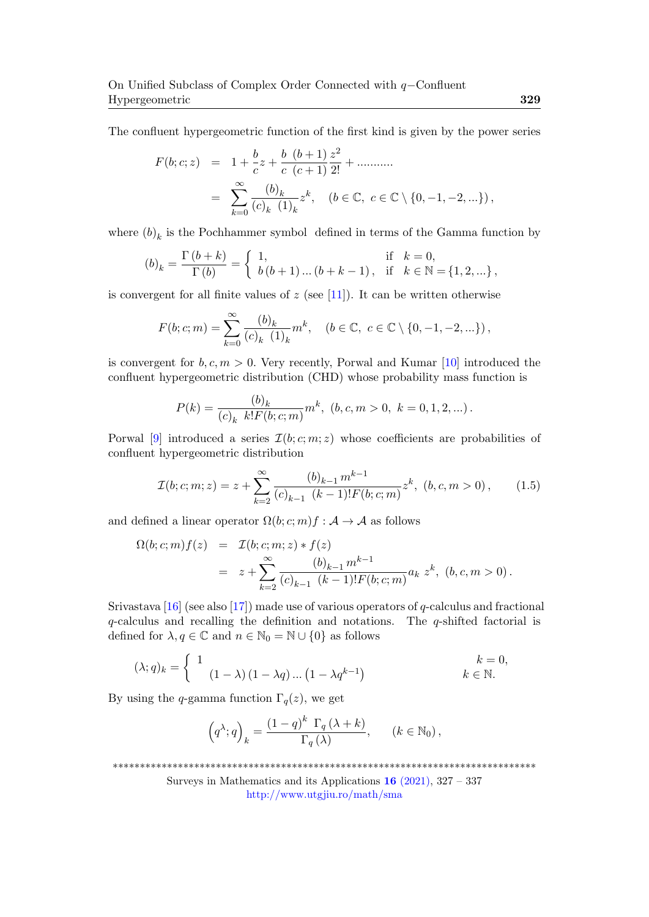The confluent hypergeometric function of the first kind is given by the power series

$$
F(b; c; z) = 1 + \frac{b}{c}z + \frac{b}{c} \frac{(b+1)}{c+1} \frac{z^2}{2!} + \dots
$$
  
= 
$$
\sum_{k=0}^{\infty} \frac{(b)_k}{(c)_k (1)_k} z^k, \quad (b \in \mathbb{C}, c \in \mathbb{C} \setminus \{0, -1, -2, \dots\}),
$$

where  $(b)_k$  is the Pochhammer symbol defined in terms of the Gamma function by

$$
(b)_k = \frac{\Gamma(b+k)}{\Gamma(b)} = \begin{cases} 1, & \text{if } k = 0, \\ b(b+1)\dots(b+k-1), & \text{if } k \in \mathbb{N} = \{1, 2, \dots\}, \end{cases}
$$

is convergent for all finite values of  $z$  (see [\[11\]](#page-9-7)). It can be written otherwise

$$
F(b; c; m) = \sum_{k=0}^{\infty} \frac{(b)_k}{(c)_k (1)_k} m^k, \quad (b \in \mathbb{C}, \ c \in \mathbb{C} \setminus \{0, -1, -2, \ldots\}),
$$

is convergent for  $b, c, m > 0$ . Very recently, Porwal and Kumar [\[10\]](#page-9-8) introduced the confluent hypergeometric distribution (CHD) whose probability mass function is

$$
P(k) = \frac{(b)_k}{(c)_k k! F(b;c;m)} m^k, \ (b, c, m > 0, \ k = 0, 1, 2, ...).
$$

Porwal [\[9\]](#page-9-9) introduced a series  $\mathcal{I}(b; c; m; z)$  whose coefficients are probabilities of confluent hypergeometric distribution

$$
\mathcal{I}(b;c;m;z) = z + \sum_{k=2}^{\infty} \frac{(b)_{k-1} m^{k-1}}{(c)_{k-1} (k-1)! F(b;c;m)} z^k, (b,c,m > 0), \qquad (1.5)
$$

and defined a linear operator  $\Omega(b; c; m) f : A \to A$  as follows

$$
\Omega(b;c;m) f(z) = \mathcal{I}(b;c;m;z) * f(z)
$$
  
=  $z + \sum_{k=2}^{\infty} \frac{(b)_{k-1} m^{k-1}}{(c)_{k-1} (k-1)! F(b;c;m)} a_k z^k$ ,  $(b,c,m > 0)$ .

Srivastava [\[16\]](#page-10-0) (see also [\[17\]](#page-10-2)) made use of various operators of q-calculus and fractional q-calculus and recalling the definition and notations. The q-shifted factorial is defined for  $\lambda, q \in \mathbb{C}$  and  $n \in \mathbb{N}_0 = \mathbb{N} \cup \{0\}$  as follows

$$
(\lambda;q)_k = \begin{cases} 1 & k = 0, \\ (1 - \lambda)(1 - \lambda q) \dots (1 - \lambda q^{k-1}) & k \in \mathbb{N}. \end{cases}
$$

By using the q-gamma function  $\Gamma_q(z)$ , we get

$$
\left(q^{\lambda};q\right)_{k} = \frac{(1-q)^{k} \Gamma_{q}(\lambda + k)}{\Gamma_{q}(\lambda)}, \qquad (k \in \mathbb{N}_{0}),
$$

<sup>\*\*\*\*\*\*\*\*\*\*\*\*\*\*\*\*\*\*\*\*\*\*\*\*\*\*\*\*\*\*\*\*\*\*\*\*\*\*\*\*\*\*\*\*\*\*\*\*\*\*\*\*\*\*\*\*\*\*\*\*\*\*\*\*\*\*\*\*\*\*\*\*\*\*\*\*\*\*</sup>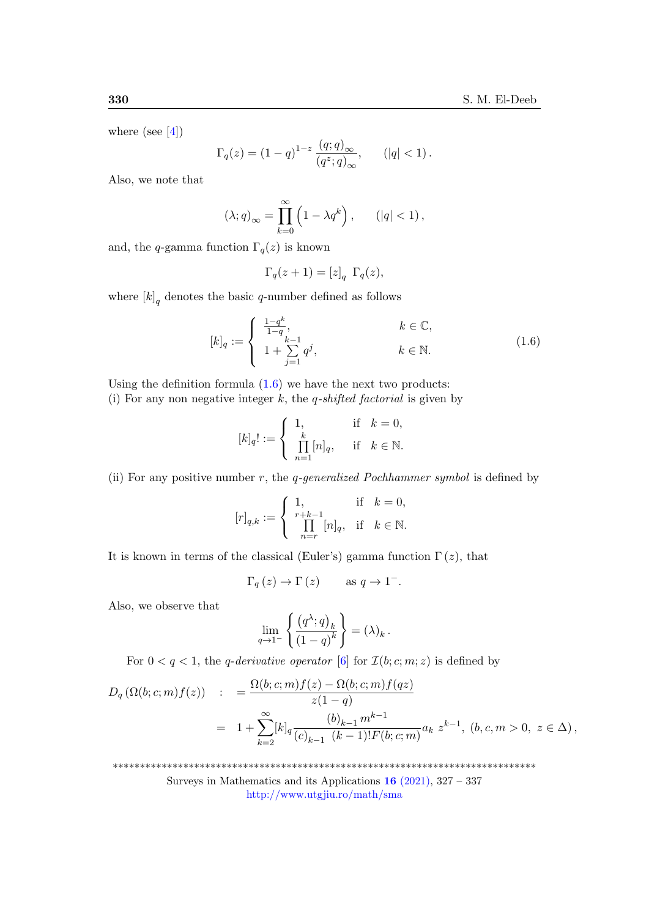where (see  $[4]$ )

$$
\Gamma_q(z) = (1-q)^{1-z} \frac{(q;q)_{\infty}}{(q^z;q)_{\infty}}, \qquad (|q| < 1).
$$

Also, we note that

$$
(\lambda;q)_{\infty} = \prod_{k=0}^{\infty} \left(1 - \lambda q^k\right), \qquad (|q| < 1),
$$

and, the q-gamma function  $\Gamma_q(z)$  is known

$$
\Gamma_q(z+1) = [z]_q \ \Gamma_q(z),
$$

where  $[k]_q$  denotes the basic q-number defined as follows

<span id="page-3-0"></span>
$$
[k]_q := \begin{cases} \frac{1-q^k}{1-q}, & k \in \mathbb{C}, \\ 1+\sum_{j=1}^{k-1} q^j, & k \in \mathbb{N}. \end{cases}
$$
 (1.6)

Using the definition formula  $(1.6)$  we have the next two products: (i) For any non negative integer k, the q-shifted factorial is given by

$$
[k]_q! := \begin{cases} 1, & \text{if } k = 0, \\ \prod_{n=1}^k [n]_q, & \text{if } k \in \mathbb{N}. \end{cases}
$$

(ii) For any positive number  $r$ , the q-generalized Pochhammer symbol is defined by

$$
[r]_{q,k}:=\left\{\begin{array}{lll} 1, & \mbox{if}\quad k=0,\\ \prod\limits_{n=r}^{r+k-1}[n]_q, & \mbox{if}\quad k\in\mathbb{N}. \end{array}\right.
$$

It is known in terms of the classical (Euler's) gamma function  $\Gamma(z)$ , that

$$
\Gamma_q(z) \to \Gamma(z)
$$
 as  $q \to 1^-$ .

Also, we observe that

$$
\lim_{q \to 1^{-}} \left\{ \frac{\left(q^{\lambda}; q\right)_{k}}{\left(1-q\right)^{k}} \right\} = (\lambda)_{k} .
$$

For  $0 < q < 1$ , the q-derivative operator [\[6\]](#page-9-3) for  $\mathcal{I}(b; c; m; z)$  is defined by

$$
D_q(\Omega(b;c;m)f(z)) := \frac{\Omega(b;c;m)f(z) - \Omega(b;c;m)f(qz)}{z(1-q)}
$$
  
=  $1 + \sum_{k=2}^{\infty} [k]_q \frac{(b)_{k-1} m^{k-1}}{(c)_{k-1} (k-1)! F(b;c;m)} a_k z^{k-1}, (b,c,m > 0, z \in \Delta),$ 

\*\*\*\*\*\*\*\*\*\*\*\*\*\*\*\*\*\*\*\*\*\*\*\*\*\*\*\*\*\*\*\*\*\*\*\*\*\*\*\*\*\*\*\*\*\*\*\*\*\*\*\*\*\*\*\*\*\*\*\*\*\*\*\*\*\*\*\*\*\*\*\*\*\*\*\*\*\*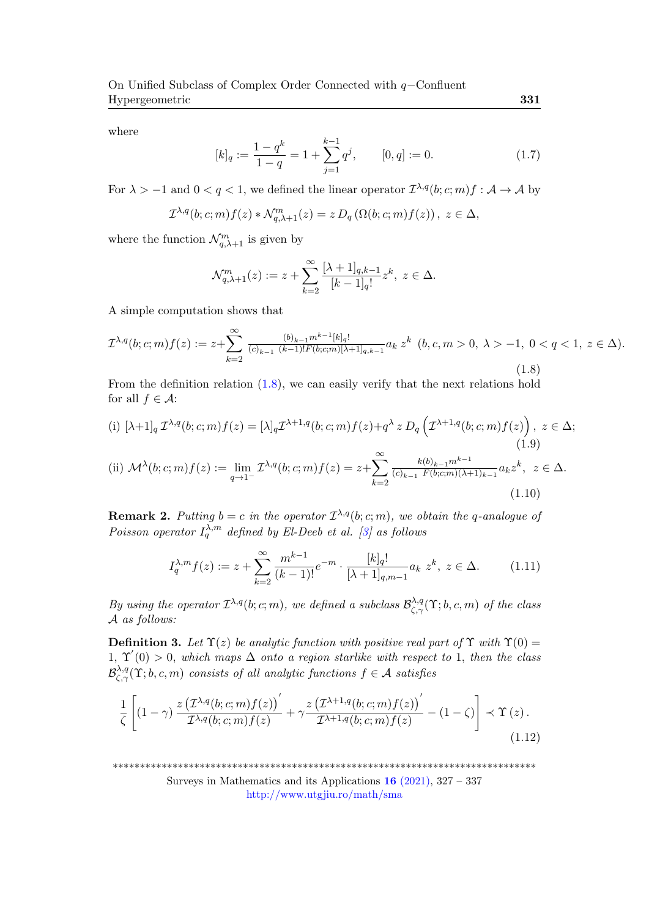where

$$
[k]_q := \frac{1 - q^k}{1 - q} = 1 + \sum_{j=1}^{k-1} q^j, \qquad [0, q] := 0.
$$
 (1.7)

For  $\lambda > -1$  and  $0 < q < 1$ , we defined the linear operator  $\mathcal{I}^{\lambda,q}(b;c;m) f : \mathcal{A} \to \mathcal{A}$  by

$$
\mathcal{I}^{\lambda,q}(b;c;m) f(z) * \mathcal{N}^m_{q,\lambda+1}(z) = z D_q(\Omega(b;c;m) f(z)), \ z \in \Delta,
$$

where the function  $\mathcal{N}_{q,\lambda+1}^m$  is given by

$$
\mathcal{N}_{q,\lambda+1}^m(z) := z + \sum_{k=2}^{\infty} \frac{[\lambda+1]_{q,k-1}}{[k-1]_q!} z^k, \ z \in \Delta.
$$

A simple computation shows that

<span id="page-4-0"></span>
$$
\mathcal{I}^{\lambda,q}(b;c;m)f(z) := z + \sum_{k=2}^{\infty} \frac{(b)_{k-1} m^{k-1} [k]_q!}{(c)_{k-1} (k-1)! F(b;c;m)[\lambda+1]_{q,k-1}} a_k z^k \ (b,c,m > 0, \ \lambda > -1, \ 0 < q < 1, \ z \in \Delta).
$$
\n(1.8)

From the definition relation [\(1.8\)](#page-4-0), we can easily verify that the next relations hold for all  $f \in \mathcal{A}$ :

(i) 
$$
[\lambda+1]_q \mathcal{I}^{\lambda,q}(b;c;m) f(z) = [\lambda]_q \mathcal{I}^{\lambda+1,q}(b;c;m) f(z) + q^{\lambda} z D_q \left( \mathcal{I}^{\lambda+1,q}(b;c;m) f(z) \right), z \in \Delta;
$$
  
\n(ii)  $\mathcal{M}^{\lambda}(b;c;m) f(z) := \lim_{q \to 1^{-}} \mathcal{I}^{\lambda,q}(b;c;m) f(z) = z + \sum_{k=2}^{\infty} \frac{k(b)_{k-1} m^{k-1}}{(c)_{k-1} F(b;c;m) (\lambda+1)_{k-1}} a_k z^k, z \in \Delta.$   
\n(1.10)

**Remark 2.** Putting  $b = c$  in the operator  $\mathcal{I}^{\lambda,q}(b;c;m)$ , we obtain the q-analogue of Poisson operator  $I_q^{\lambda,m}$  defined by El-Deeb et al. [\[3\]](#page-8-2) as follows

$$
I_q^{\lambda,m} f(z) := z + \sum_{k=2}^{\infty} \frac{m^{k-1}}{(k-1)!} e^{-m} \cdot \frac{[k]_q!}{[\lambda+1]_{q,m-1}} a_k \ z^k, \ z \in \Delta.
$$
 (1.11)

By using the operator  $\mathcal{I}^{\lambda,q}(b;c;m)$ , we defined a subclass  $\mathcal{B}^{\lambda,q}_{\zeta,\gamma}(\Upsilon;b,c,m)$  of the class A as follows:

**Definition 3.** Let  $\Upsilon(z)$  be analytic function with positive real part of  $\Upsilon$  with  $\Upsilon(0)$  = 1,  $\Upsilon'(0) > 0$ , which maps  $\Delta$  onto a region starlike with respect to 1, then the class  $\mathcal{B}^{\lambda,q}_{\zeta,\gamma}(\Upsilon;b,c,m)$  consists of all analytic functions  $f\in\mathcal{A}$  satisfies

<span id="page-4-1"></span>
$$
\frac{1}{\zeta} \left[ (1-\gamma) \frac{z \left( \mathcal{I}^{\lambda,q}(b;c;m) f(z) \right)'}{\mathcal{I}^{\lambda,q}(b;c;m) f(z)} + \gamma \frac{z \left( \mathcal{I}^{\lambda+1,q}(b;c;m) f(z) \right)'}{\mathcal{I}^{\lambda+1,q}(b;c;m) f(z)} - (1-\zeta) \right] \prec \Upsilon(z) .
$$
\n(1.12)

\*\*\*\*\*\*\*\*\*\*\*\*\*\*\*\*\*\*\*\*\*\*\*\*\*\*\*\*\*\*\*\*\*\*\*\*\*\*\*\*\*\*\*\*\*\*\*\*\*\*\*\*\*\*\*\*\*\*\*\*\*\*\*\*\*\*\*\*\*\*\*\*\*\*\*\*\*\*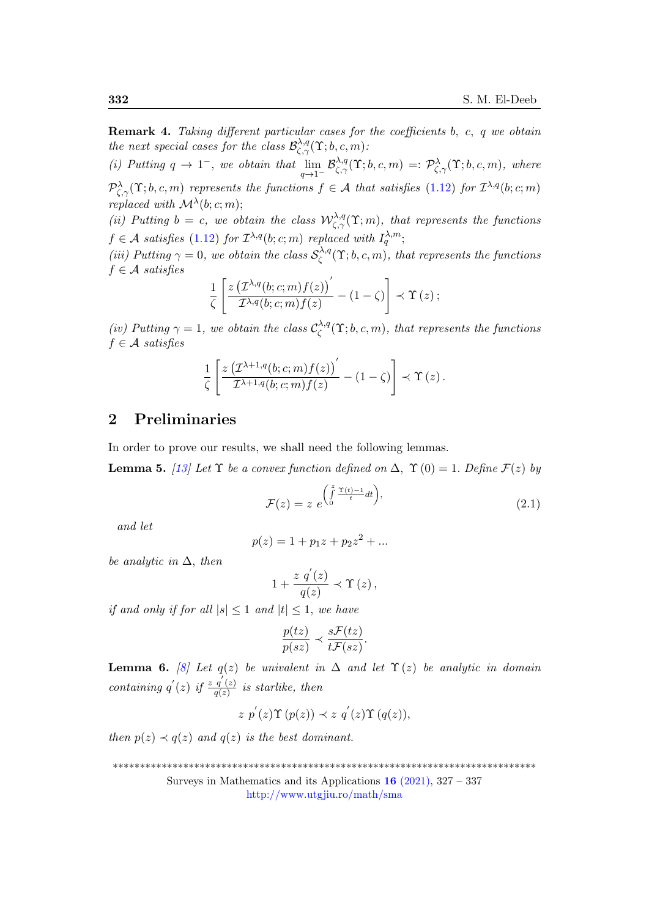Remark 4. Taking different particular cases for the coefficients b, c, q we obtain the next special cases for the class  $\mathcal{B}^{\lambda,q}_{\zeta,\gamma}(\Upsilon;b,c,m)$ :

(i) Putting  $q \to 1^-$ , we obtain that  $\lim_{q \to 1^-} \mathcal{B}^{\lambda,q}_{\zeta,\gamma}(\Upsilon;b,c,m) =: \mathcal{P}^{\lambda}_{\zeta,\gamma}(\Upsilon;b,c,m)$ , where  $\mathcal{P}_{\zeta,\gamma}^{\lambda}(\Upsilon;b,c,m)$  represents the functions  $f \in \mathcal{A}$  that satisfies [\(1.12\)](#page-4-1) for  $\mathcal{I}^{\lambda,q}(b;c;m)$ replaced with  $\mathcal{M}^{\lambda}(b;c;m);$ 

(ii) Putting  $b = c$ , we obtain the class  $\mathcal{W}^{\lambda,q}_{\zeta,\gamma}(\Upsilon; m)$ , that represents the functions  $f \in \mathcal{A}$  satisfies [\(1.12\)](#page-4-1) for  $\mathcal{I}^{\lambda,q}(b;c;m)$  replaced with  $I_q^{\lambda,m}$ ;

(iii) Putting  $\gamma = 0$ , we obtain the class  $S_c^{\lambda,q}$  $\mathcal{C}_{\zeta}^{\lambda,q}(\Upsilon;b,c,m),$  that represents the functions  $f \in \mathcal{A}$  satisfies

$$
\frac{1}{\zeta}\left[\frac{z\left(\mathcal{I}^{\lambda,q}(b;c;m) f(z)\right)'}{\mathcal{I}^{\lambda,q}(b;c;m) f(z)}-(1-\zeta)\right]\prec \Upsilon\left(z\right);
$$

(iv) Putting  $\gamma = 1$ , we obtain the class  $\mathcal{C}_{\zeta}^{\lambda,q}$  $\mathcal{L}_{\zeta}^{\lambda,q}(\Upsilon;b,c,m),$  that represents the functions  $f \in \mathcal{A}$  satisfies

$$
\frac{1}{\zeta}\left[\frac{z\left(\mathcal{I}^{\lambda+1,q}(b;c;m)f(z)\right)'}{\mathcal{I}^{\lambda+1,q}(b;c;m) f(z)} - (1-\zeta)\right] \prec \Upsilon(z).
$$

# 2 Preliminaries

In order to prove our results, we shall need the following lemmas.

<span id="page-5-0"></span>**Lemma 5.** [\[13\]](#page-9-11) Let  $\Upsilon$  be a convex function defined on  $\Delta$ ,  $\Upsilon$  (0) = 1. Define  $\mathcal{F}(z)$  by

<span id="page-5-1"></span>
$$
\mathcal{F}(z) = z \ e^{\left(\int_0^z \frac{\Upsilon(t)-1}{t} dt\right)},\tag{2.1}
$$

and let

$$
p(z) = 1 + p_1 z + p_2 z^2 + \dots
$$

be analytic in  $\Delta$ , then

$$
1+\frac{z\,\,q^{'}(z)}{q(z)}\prec\Upsilon\left(z\right),
$$

if and only if for all  $|s| \leq 1$  and  $|t| \leq 1$ , we have

$$
\frac{p(tz)}{p(sz)} \prec \frac{s\mathcal{F}(tz)}{t\mathcal{F}(sz)}.
$$

<span id="page-5-2"></span>**Lemma 6.** [\[8\]](#page-9-4) Let  $q(z)$  be univalent in  $\Delta$  and let  $\Upsilon(z)$  be analytic in domain containing  $q'(z)$  if  $\frac{z \overline{q'(z)}}{q(z)}$  $\frac{q(z)}{q(z)}$  is starlike, then

$$
z p'(z) \Upsilon (p(z)) \prec z q'(z) \Upsilon (q(z)),
$$

then  $p(z) \prec q(z)$  and  $q(z)$  is the best dominant.

\*\*\*\*\*\*\*\*\*\*\*\*\*\*\*\*\*\*\*\*\*\*\*\*\*\*\*\*\*\*\*\*\*\*\*\*\*\*\*\*\*\*\*\*\*\*\*\*\*\*\*\*\*\*\*\*\*\*\*\*\*\*\*\*\*\*\*\*\*\*\*\*\*\*\*\*\*\*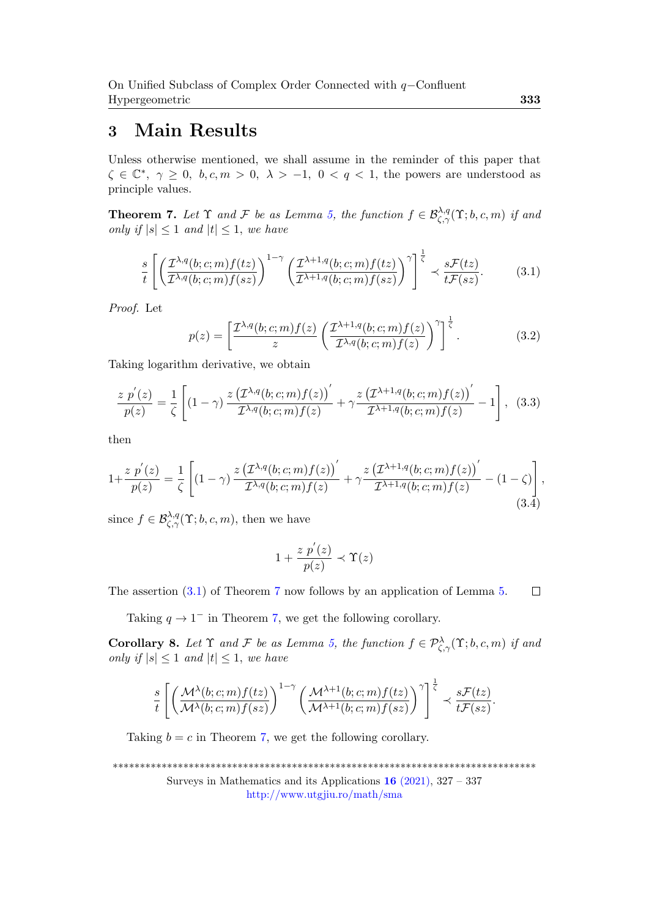# 3 Main Results

Unless otherwise mentioned, we shall assume in the reminder of this paper that  $\zeta \in \mathbb{C}^*, \ \gamma \geq 0, \ b, c, m > 0, \ \lambda > -1, \ 0 < q < 1$ , the powers are understood as principle values.

<span id="page-6-1"></span>**Theorem 7.** Let  $\Upsilon$  and  $\mathcal F$  be as Lemma [5,](#page-5-0) the function  $f \in \mathcal{B}^{\lambda,q}_{\zeta,\gamma}(\Upsilon;b,c,m)$  if and only if  $|s| \leq 1$  and  $|t| \leq 1$ , we have

<span id="page-6-0"></span>
$$
\frac{s}{t} \left[ \left( \frac{\mathcal{I}^{\lambda,q}(b;c;m) f(tz)}{\mathcal{I}^{\lambda,q}(b;c;m) f(sz)} \right)^{1-\gamma} \left( \frac{\mathcal{I}^{\lambda+1,q}(b;c;m) f(tz)}{\mathcal{I}^{\lambda+1,q}(b;c;m) f(sz)} \right)^{\gamma} \right]^{\frac{1}{\zeta}} \prec \frac{s\mathcal{F}(tz)}{t\mathcal{F}(sz)}.
$$
(3.1)

Proof. Let

<span id="page-6-2"></span>
$$
p(z) = \left[\frac{\mathcal{I}^{\lambda,q}(b;c;m) f(z)}{z} \left(\frac{\mathcal{I}^{\lambda+1,q}(b;c;m) f(z)}{\mathcal{I}^{\lambda,q}(b;c;m) f(z)}\right)^{\gamma}\right]^{\frac{1}{\zeta}}.
$$
(3.2)

Taking logarithm derivative, we obtain

$$
\frac{z p'(z)}{p(z)} = \frac{1}{\zeta} \left[ (1-\gamma) \frac{z \left( \mathcal{I}^{\lambda,q}(b;c;m) f(z) \right)'}{\mathcal{I}^{\lambda,q}(b;c;m) f(z)} + \gamma \frac{z \left( \mathcal{I}^{\lambda+1,q}(b;c;m) f(z) \right)'}{\mathcal{I}^{\lambda+1,q}(b;c;m) f(z)} - 1 \right], \quad (3.3)
$$

then

<span id="page-6-3"></span>
$$
1 + \frac{z \ p'(z)}{p(z)} = \frac{1}{\zeta} \left[ (1 - \gamma) \frac{z \left(\mathcal{I}^{\lambda, q}(b; c; m) f(z)\right)'}{\mathcal{I}^{\lambda, q}(b; c; m) f(z)} + \gamma \frac{z \left(\mathcal{I}^{\lambda+1, q}(b; c; m) f(z)\right)'}{\mathcal{I}^{\lambda+1, q}(b; c; m) f(z)} - (1 - \zeta) \right],
$$
\n(3.4)

since  $f \in \mathcal{B}_{\zeta,\gamma}^{\lambda,q}(\Upsilon;b,c,m)$ , then we have

$$
1+\frac{z \ p^{'}(z)}{p(z)} \prec \Upsilon(z)
$$

The assertion [\(3.1\)](#page-6-0) of Theorem [7](#page-6-1) now follows by an application of Lemma [5.](#page-5-0)  $\Box$ 

Taking  $q \to 1^-$  in Theorem [7,](#page-6-1) we get the following corollary.

**Corollary 8.** Let  $\Upsilon$  and  $\mathcal F$  be as Lemma [5,](#page-5-0) the function  $f \in \mathcal P_{\zeta,\gamma}^{\lambda}(\Upsilon;b,c,m)$  if and only if  $|s| \leq 1$  and  $|t| \leq 1$ , we have

$$
\frac{s}{t}\left[\left(\frac{\mathcal{M}^{\lambda}(b;c;m)f(tz)}{\mathcal{M}^{\lambda}(b;c;m)f(sz)}\right)^{1-\gamma}\left(\frac{\mathcal{M}^{\lambda+1}(b;c;m)f(tz)}{\mathcal{M}^{\lambda+1}(b;c;m)f(sz)}\right)^{\gamma}\right]^{\frac{1}{\zeta}} \prec \frac{s\mathcal{F}(tz)}{t\mathcal{F}(sz)}.
$$

Taking  $b = c$  in Theorem [7,](#page-6-1) we get the following corollary.

\*\*\*\*\*\*\*\*\*\*\*\*\*\*\*\*\*\*\*\*\*\*\*\*\*\*\*\*\*\*\*\*\*\*\*\*\*\*\*\*\*\*\*\*\*\*\*\*\*\*\*\*\*\*\*\*\*\*\*\*\*\*\*\*\*\*\*\*\*\*\*\*\*\*\*\*\*\* Surveys in Mathematics and its Applications  $16$  [\(2021\),](http://www.utgjiu.ro/math/sma/v16/v16.html) 327 – 337 <http://www.utgjiu.ro/math/sma>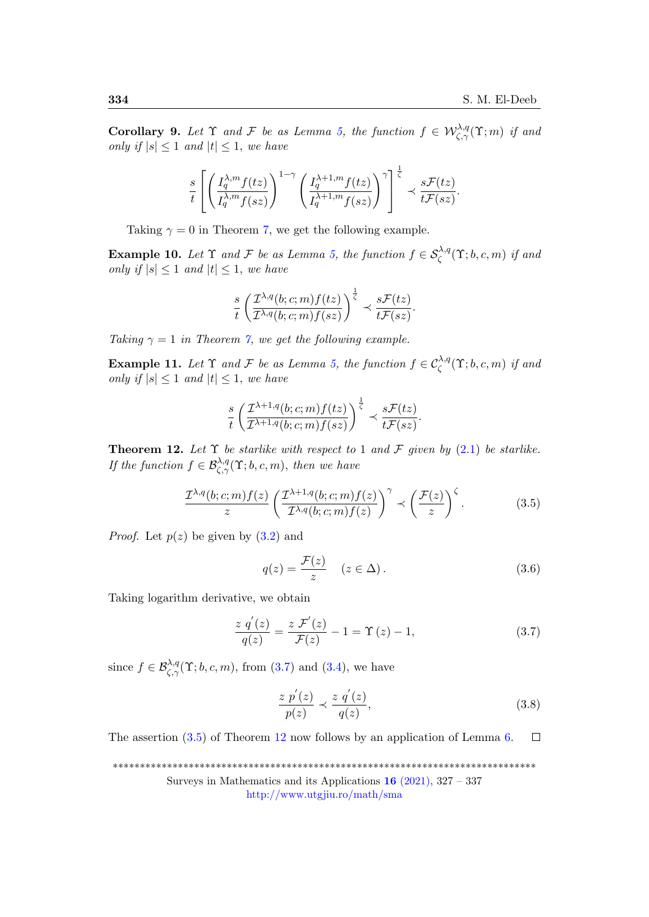**Corollary 9.** Let  $\Upsilon$  and  $\mathcal F$  be as Lemma [5,](#page-5-0) the function  $f \in \mathcal W^{ \lambda, q}_{\zeta, \gamma}(\Upsilon; m)$  if and only if  $|s| \leq 1$  and  $|t| \leq 1$ , we have

$$
\frac{s}{t}\left[\left(\frac{I_q^{\lambda,m}f(tz)}{I_q^{\lambda,m}f(sz)}\right)^{1-\gamma}\left(\frac{I_q^{\lambda+1,m}f(tz)}{I_q^{\lambda+1,m}f(sz)}\right)^{\gamma}\right]^{\frac{1}{\zeta}} \prec \frac{s\mathcal{F}(tz)}{t\mathcal{F}(sz)}.
$$

Taking  $\gamma = 0$  in Theorem [7,](#page-6-1) we get the following example.

**Example 10.** Let  $\Upsilon$  and  $\mathcal F$  be as Lemma [5,](#page-5-0) the function  $f \in \mathcal{S}_{\zeta}^{\lambda,q}(\Upsilon;b,c,m)$  if and only if  $|s| \leq 1$  and  $|t| \leq 1$ , we have

$$
\frac{s}{t}\left(\frac{\mathcal{I}^{\lambda,q}(b;c;m)f(tz)}{\mathcal{I}^{\lambda,q}(b;c;m)f(sz)}\right)^{\frac{1}{\zeta}} \prec \frac{s\mathcal{F}(tz)}{t\mathcal{F}(sz)}.
$$

Taking  $\gamma = 1$  in Theorem [7,](#page-6-1) we get the following example.

**Example 11.** Let  $\Upsilon$  and  $\mathcal F$  be as Lemma [5,](#page-5-0) the function  $f \in C_{\zeta}^{\lambda,q}(\Upsilon;b,c,m)$  if and only if  $|s| \leq 1$  and  $|t| \leq 1$ , we have

$$
\frac{s}{t}\left(\frac{\mathcal{I}^{\lambda+1,q}(b;c;m) f(tz)}{\mathcal{I}^{\lambda+1,q}(b;c;m) f(sz)}\right)^{\frac{1}{\zeta}} \prec \frac{s\mathcal{F}(tz)}{t\mathcal{F}(sz)}.
$$

<span id="page-7-2"></span>**Theorem 12.** Let  $\Upsilon$  be starlike with respect to 1 and F given by [\(2.1\)](#page-5-1) be starlike. If the function  $f \in \mathcal{B}^{\lambda,q}_{\zeta,\gamma}(\Upsilon;b,c,m)$ , then we have

<span id="page-7-1"></span>
$$
\frac{\mathcal{I}^{\lambda,q}(b;c;m) f(z)}{z} \left( \frac{\mathcal{I}^{\lambda+1,q}(b;c;m) f(z)}{\mathcal{I}^{\lambda,q}(b;c;m) f(z)} \right)^{\gamma} \prec \left( \frac{\mathcal{F}(z)}{z} \right)^{\zeta}.
$$
 (3.5)

*Proof.* Let  $p(z)$  be given by  $(3.2)$  and

$$
q(z) = \frac{\mathcal{F}(z)}{z} \quad (z \in \Delta). \tag{3.6}
$$

Taking logarithm derivative, we obtain

<span id="page-7-0"></span>
$$
\frac{z \, q'(z)}{q(z)} = \frac{z \, \mathcal{F}'(z)}{\mathcal{F}(z)} - 1 = \Upsilon(z) - 1,\tag{3.7}
$$

since  $f \in \mathcal{B}^{\lambda,q}_{\zeta,\gamma}(\Upsilon;b,c,m)$ , from [\(3.7\)](#page-7-0) and [\(3.4\)](#page-6-3), we have

$$
\frac{z \ p'(z)}{p(z)} \prec \frac{z \ q'(z)}{q(z)},\tag{3.8}
$$

The assertion [\(3.5\)](#page-7-1) of Theorem [12](#page-7-2) now follows by an application of Lemma [6.](#page-5-2)  $\Box$ 

\*\*\*\*\*\*\*\*\*\*\*\*\*\*\*\*\*\*\*\*\*\*\*\*\*\*\*\*\*\*\*\*\*\*\*\*\*\*\*\*\*\*\*\*\*\*\*\*\*\*\*\*\*\*\*\*\*\*\*\*\*\*\*\*\*\*\*\*\*\*\*\*\*\*\*\*\*\* Surveys in Mathematics and its Applications  $16$  [\(2021\),](http://www.utgjiu.ro/math/sma/v16/v16.html) 327 – 337 <http://www.utgjiu.ro/math/sma>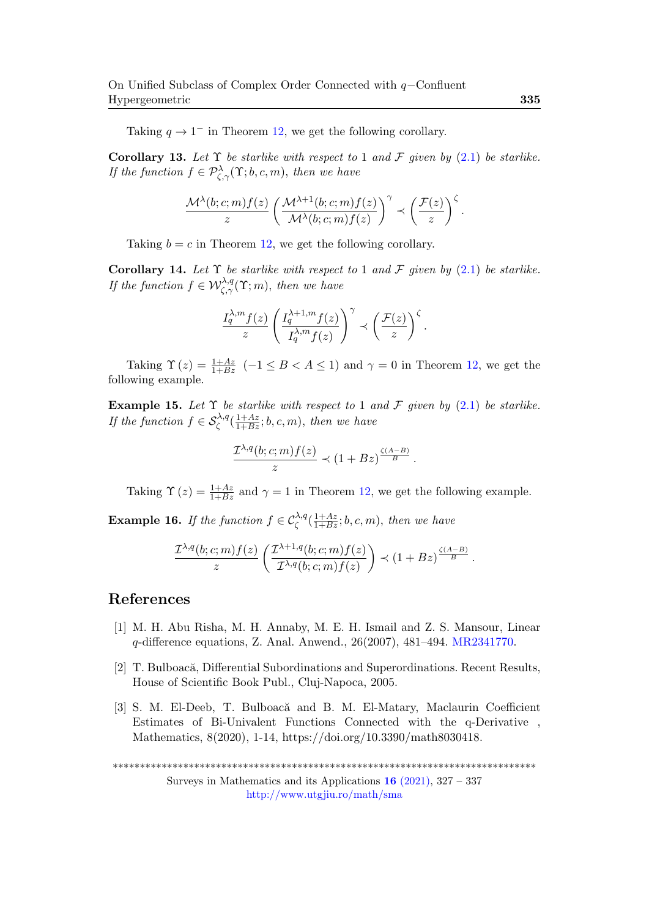Taking  $q \to 1^-$  in Theorem [12,](#page-7-2) we get the following corollary.

Corollary 13. Let  $\Upsilon$  be starlike with respect to 1 and F given by [\(2.1\)](#page-5-1) be starlike. If the function  $f \in \mathcal{P}_{\zeta,\gamma}^{\lambda}(\Upsilon;b,c,m)$ , then we have

$$
\frac{\mathcal{M}^\lambda(b;c;m) f(z)}{z} \left(\frac{\mathcal{M}^{\lambda+1}(b;c;m) f(z)}{\mathcal{M}^\lambda(b;c;m) f(z)}\right)^\gamma \prec \left(\frac{\mathcal{F}(z)}{z}\right)^\zeta.
$$

Taking  $b = c$  in Theorem [12,](#page-7-2) we get the following corollary.

Corollary 14. Let  $\Upsilon$  be starlike with respect to 1 and  $\mathcal F$  given by [\(2.1\)](#page-5-1) be starlike. If the function  $f \in \mathcal{W}^{\lambda,q}_{\zeta,\gamma}(\Upsilon; m)$ , then we have

$$
\frac{I_q^{\lambda,m}f(z)}{z}\left(\frac{I_q^{\lambda+1,m}f(z)}{I_q^{\lambda,m}f(z)}\right)^{\gamma}\prec\left(\frac{\mathcal{F}(z)}{z}\right)^{\zeta}.
$$

Taking  $\Upsilon(z) = \frac{1+Az}{1+Bz}$  (-1  $\leq B < A \leq 1$ ) and  $\gamma = 0$  in Theorem [12,](#page-7-2) we get the following example.

**Example 15.** Let  $\Upsilon$  be starlike with respect to 1 and F given by [\(2.1\)](#page-5-1) be starlike. If the function  $f \in \mathcal{S}_{\zeta}^{\lambda,q}(\frac{1+Az}{1+Bz};b,c,m)$ , then we have

$$
\frac{\mathcal{I}^{\lambda,q}(b;c;m) f(z)}{z} \prec (1+Bz)^{\frac{\zeta(A-B)}{B}}.
$$

Taking  $\Upsilon(z) = \frac{1+Az}{1+Bz}$  and  $\gamma = 1$  in Theorem [12,](#page-7-2) we get the following example.

**Example 16.** If the function  $f \in C_{\zeta}^{\lambda,q}(\frac{1+Az}{1+Bz};b,c,m)$ , then we have

$$
\frac{\mathcal{I}^{\lambda,q}(b;c;m) f(z)}{z} \left( \frac{\mathcal{I}^{\lambda+1,q}(b;c;m) f(z)}{\mathcal{I}^{\lambda,q}(b;c;m) f(z)} \right) \prec (1+Bz)^{\frac{\zeta(A-B)}{B}}.
$$

#### References

- <span id="page-8-0"></span>[1] M. H. Abu Risha, M. H. Annaby, M. E. H. Ismail and Z. S. Mansour, Linear q-difference equations, Z. Anal. Anwend., 26(2007), 481–494. [MR2341770.](https://mathscinet.ams.org/mathscinet-getitem?mr=2341770)
- <span id="page-8-1"></span>[2] T. Bulboacă, Differential Subordinations and Superordinations. Recent Results, House of Scientific Book Publ., Cluj-Napoca, 2005.
- <span id="page-8-2"></span>[3] S. M. El-Deeb, T. Bulboacă and B. M. El-Matary, Maclaurin Coefficient Estimates of Bi-Univalent Functions Connected with the q-Derivative , Mathematics, 8(2020), 1-14, https://doi.org/10.3390/math8030418.

\*\*\*\*\*\*\*\*\*\*\*\*\*\*\*\*\*\*\*\*\*\*\*\*\*\*\*\*\*\*\*\*\*\*\*\*\*\*\*\*\*\*\*\*\*\*\*\*\*\*\*\*\*\*\*\*\*\*\*\*\*\*\*\*\*\*\*\*\*\*\*\*\*\*\*\*\*\*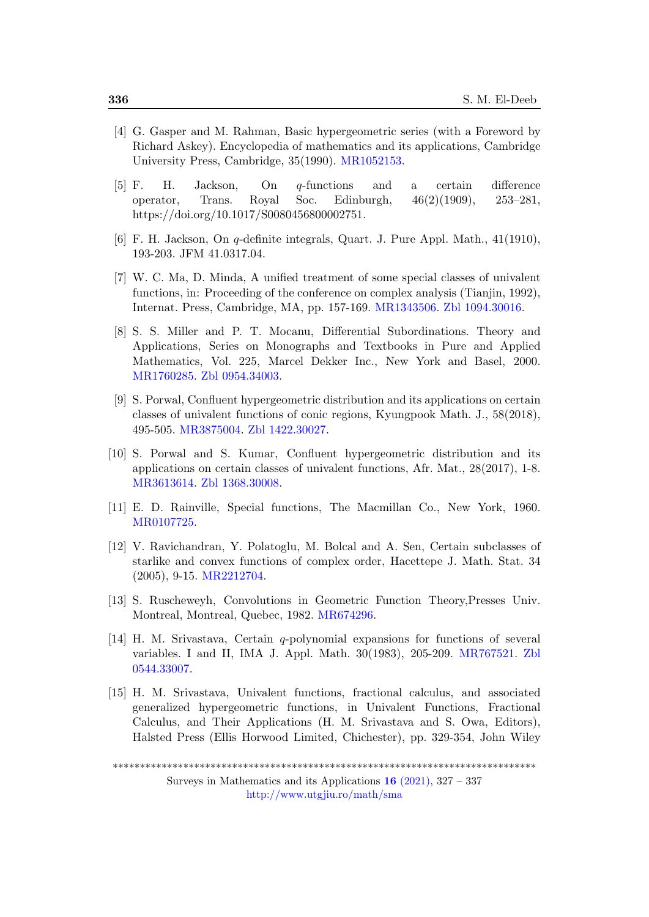- <span id="page-9-10"></span>[4] G. Gasper and M. Rahman, Basic hypergeometric series (with a Foreword by Richard Askey). Encyclopedia of mathematics and its applications, Cambridge University Press, Cambridge, 35(1990). [MR1052153.](https://mathscinet.ams.org/mathscinet-getitem?mr=1052153)
- <span id="page-9-2"></span>[5] F. H. Jackson, On q-functions and a certain difference operator, Trans. Royal Soc. Edinburgh, 46(2)(1909), 253–281, https://doi.org/10.1017/S0080456800002751.
- <span id="page-9-3"></span>[6] F. H. Jackson, On q-definite integrals, Quart. J. Pure Appl. Math., 41(1910), 193-203. JFM 41.0317.04.
- <span id="page-9-5"></span>[7] W. C. Ma, D. Minda, A unified treatment of some special classes of univalent functions, in: Proceeding of the conference on complex analysis (Tianjin, 1992), Internat. Press, Cambridge, MA, pp. 157-169. [MR1343506.](https://mathscinet.ams.org/mathscinet-getitem?mr=1343506) [Zbl 1094.30016.](https://zbmath.org/?q=an:1094.30016)
- <span id="page-9-4"></span>[8] S. S. Miller and P. T. Mocanu, Differential Subordinations. Theory and Applications, Series on Monographs and Textbooks in Pure and Applied Mathematics, Vol. 225, Marcel Dekker Inc., New York and Basel, 2000. [MR1760285.](https://mathscinet.ams.org/mathscinet-getitem?mr=1760285) [Zbl 0954.34003.](https://zbmath.org/?q=an:0954.34003)
- <span id="page-9-9"></span>[9] S. Porwal, Confluent hypergeometric distribution and its applications on certain classes of univalent functions of conic regions, Kyungpook Math. J., 58(2018), 495-505. [MR3875004.](https://mathscinet.ams.org/mathscinet-getitem?mr=3875004) [Zbl 1422.30027.](https://zbmath.org/?q=an:1422.30027)
- <span id="page-9-8"></span>[10] S. Porwal and S. Kumar, Confluent hypergeometric distribution and its applications on certain classes of univalent functions, Afr. Mat., 28(2017), 1-8. [MR3613614.](https://mathscinet.ams.org/mathscinet-getitem?mr=3613614) [Zbl 1368.30008.](https://zbmath.org/?q=an:1368.30008)
- <span id="page-9-7"></span>[11] E. D. Rainville, Special functions, The Macmillan Co., New York, 1960. [MR0107725.](https://mathscinet.ams.org/mathscinet-getitem?mr=0107725 )
- <span id="page-9-6"></span>[12] V. Ravichandran, Y. Polatoglu, M. Bolcal and A. Sen, Certain subclasses of starlike and convex functions of complex order, Hacettepe J. Math. Stat. 34 (2005), 9-15. [MR2212704.](https://mathscinet.ams.org/mathscinet-getitem?mr=2212704)
- <span id="page-9-11"></span>[13] S. Ruscheweyh, Convolutions in Geometric Function Theory,Presses Univ. Montreal, Montreal, Quebec, 1982. [MR674296.](https://mathscinet.ams.org/mathscinet-getitem?mr=674296)
- <span id="page-9-0"></span>[14] H. M. Srivastava, Certain q-polynomial expansions for functions of several variables. I and II, IMA J. Appl. Math. 30(1983), 205-209. [MR767521.](https://mathscinet.ams.org/mathscinet-getitem?mr=767521) [Zbl](https://zbmath.org/?q=an:0544.33007) [0544.33007.](https://zbmath.org/?q=an:0544.33007)
- <span id="page-9-1"></span>[15] H. M. Srivastava, Univalent functions, fractional calculus, and associated generalized hypergeometric functions, in Univalent Functions, Fractional Calculus, and Their Applications (H. M. Srivastava and S. Owa, Editors), Halsted Press (Ellis Horwood Limited, Chichester), pp. 329-354, John Wiley

<sup>\*\*\*\*\*\*\*\*\*\*\*\*\*\*\*\*\*\*\*\*\*\*\*\*\*\*\*\*\*\*\*\*\*\*\*\*\*\*\*\*\*\*\*\*\*\*\*\*\*\*\*\*\*\*\*\*\*\*\*\*\*\*\*\*\*\*\*\*\*\*\*\*\*\*\*\*\*\*</sup>